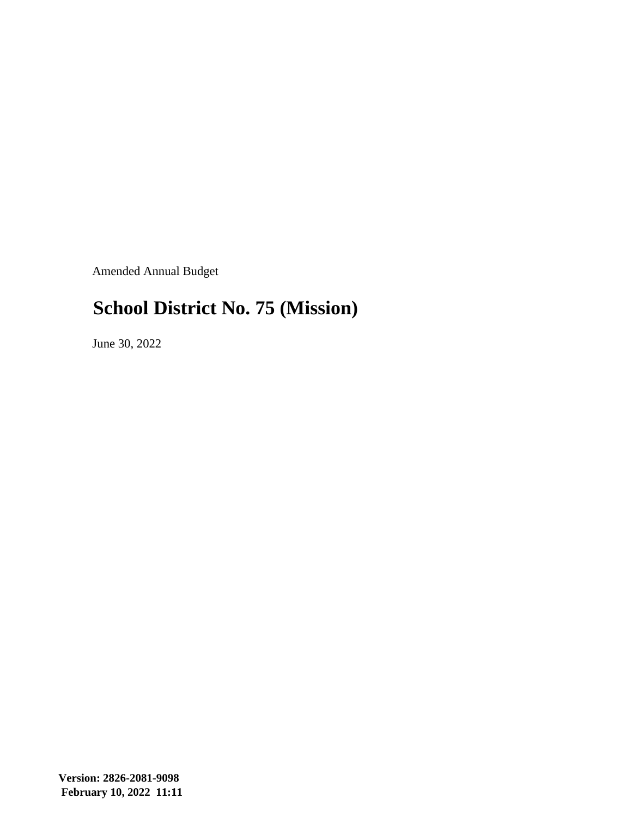Amended Annual Budget

#### **School District No. 75 (Mission)**

June 30, 2022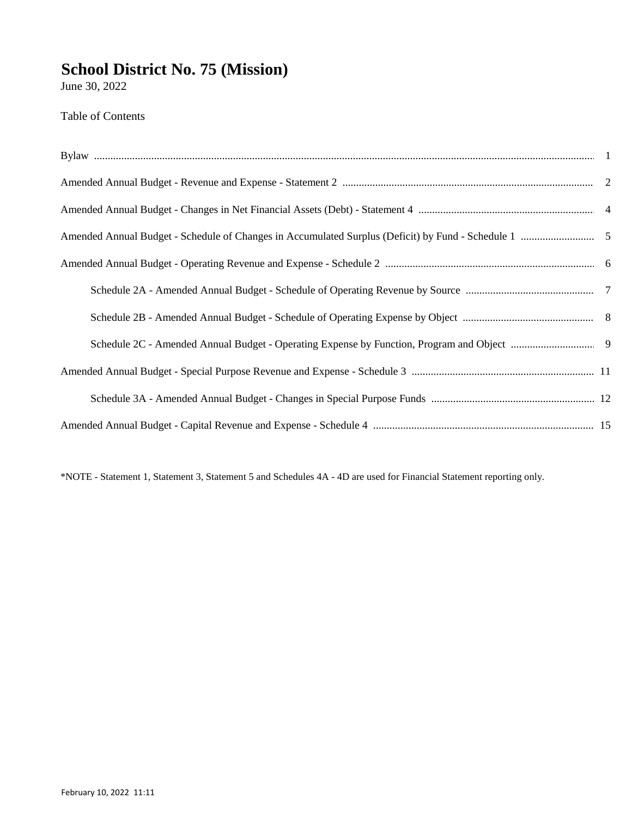June 30, 2022

**Table of Contents** 

\*NOTE - Statement 1, Statement 3, Statement 5 and Schedules 4A - 4D are used for Financial Statement reporting only.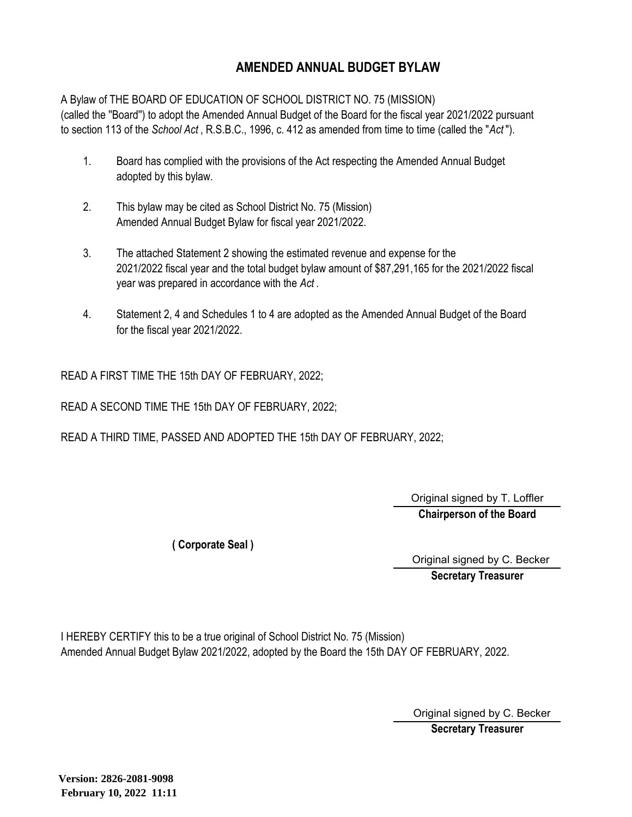#### **AMENDED ANNUAL BUDGET BYLAW**

A Bylaw of THE BOARD OF EDUCATION OF SCHOOL DISTRICT NO. 75 (MISSION) (called the ''Board'') to adopt the Amended Annual Budget of the Board for the fiscal year 2021/2022 pursuant to section 113 of the *School Act* , R.S.B.C., 1996, c. 412 as amended from time to time (called the "*Act* ").

- 1. Board has complied with the provisions of the Act respecting the Amended Annual Budget adopted by this bylaw.
- 2. This bylaw may be cited as School District No. 75 (Mission) Amended Annual Budget Bylaw for fiscal year 2021/2022.
- 3. The attached Statement 2 showing the estimated revenue and expense for the 2021/2022 fiscal year and the total budget bylaw amount of \$87,291,165 for the 2021/2022 fiscal year was prepared in accordance with the *Act* .
- 4. Statement 2, 4 and Schedules 1 to 4 are adopted as the Amended Annual Budget of the Board for the fiscal year 2021/2022.

READ A FIRST TIME THE 15th DAY OF FEBRUARY, 2022;

READ A SECOND TIME THE 15th DAY OF FEBRUARY, 2022;

READ A THIRD TIME, PASSED AND ADOPTED THE 15th DAY OF FEBRUARY, 2022;

**Chairperson of the Board** Original signed by T. Loffler

**( Corporate Seal )**

Original signed by C. Becker

**Secretary Treasurer**

I HEREBY CERTIFY this to be a true original of School District No. 75 (Mission) Amended Annual Budget Bylaw 2021/2022, adopted by the Board the 15th DAY OF FEBRUARY, 2022.

Original signed by C. Becker

**Secretary Treasurer**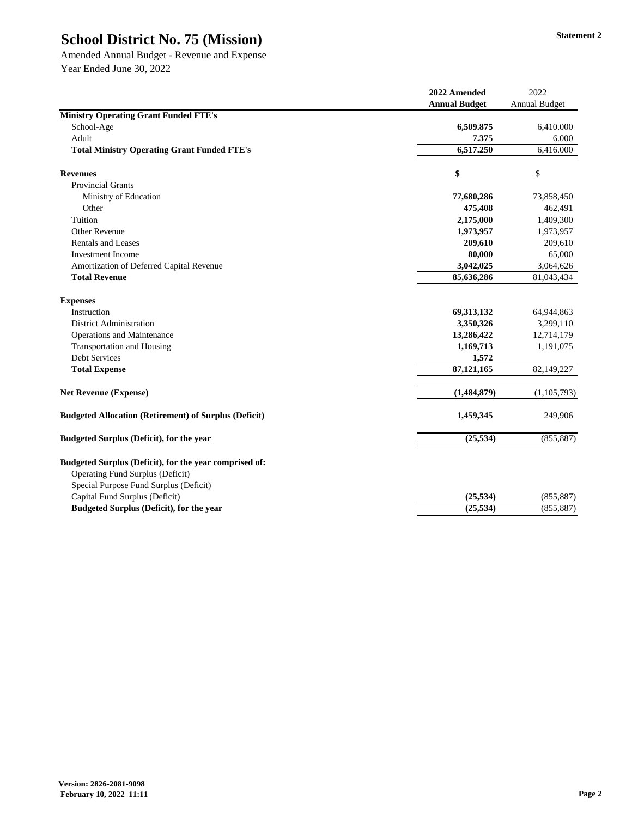Amended Annual Budget - Revenue and Expense Year Ended June 30, 2022

|                                                                                                                                             | 2022 Amended         | 2022                 |
|---------------------------------------------------------------------------------------------------------------------------------------------|----------------------|----------------------|
|                                                                                                                                             | <b>Annual Budget</b> | <b>Annual Budget</b> |
| <b>Ministry Operating Grant Funded FTE's</b>                                                                                                |                      |                      |
| School-Age                                                                                                                                  | 6,509.875            | 6,410.000            |
| Adult                                                                                                                                       | 7.375                | 6.000                |
| <b>Total Ministry Operating Grant Funded FTE's</b>                                                                                          | 6,517.250            | 6,416.000            |
| <b>Revenues</b>                                                                                                                             | \$                   | \$                   |
| <b>Provincial Grants</b>                                                                                                                    |                      |                      |
| Ministry of Education                                                                                                                       | 77,680,286           | 73,858,450           |
| Other                                                                                                                                       | 475,408              | 462,491              |
| Tuition                                                                                                                                     | 2,175,000            | 1,409,300            |
| <b>Other Revenue</b>                                                                                                                        | 1,973,957            | 1,973,957            |
| <b>Rentals and Leases</b>                                                                                                                   | 209,610              | 209,610              |
| <b>Investment Income</b>                                                                                                                    | 80,000               | 65,000               |
| Amortization of Deferred Capital Revenue                                                                                                    | 3,042,025            | 3,064,626            |
| <b>Total Revenue</b>                                                                                                                        | 85,636,286           | 81,043,434           |
| <b>Expenses</b>                                                                                                                             |                      |                      |
| Instruction                                                                                                                                 | 69,313,132           | 64,944,863           |
| <b>District Administration</b>                                                                                                              | 3,350,326            | 3,299,110            |
| <b>Operations and Maintenance</b>                                                                                                           | 13,286,422           | 12,714,179           |
| <b>Transportation and Housing</b>                                                                                                           | 1,169,713            | 1,191,075            |
| <b>Debt Services</b>                                                                                                                        | 1,572                |                      |
| <b>Total Expense</b>                                                                                                                        | 87, 121, 165         | 82,149,227           |
| <b>Net Revenue (Expense)</b>                                                                                                                | (1,484,879)          | (1,105,793)          |
| <b>Budgeted Allocation (Retirement) of Surplus (Deficit)</b>                                                                                | 1,459,345            | 249,906              |
| <b>Budgeted Surplus (Deficit), for the year</b>                                                                                             | (25, 534)            | (855, 887)           |
| Budgeted Surplus (Deficit), for the year comprised of:<br><b>Operating Fund Surplus (Deficit)</b><br>Special Purpose Fund Surplus (Deficit) |                      |                      |
| Capital Fund Surplus (Deficit)                                                                                                              | (25, 534)            | (855, 887)           |
| <b>Budgeted Surplus (Deficit), for the year</b>                                                                                             | (25, 534)            | (855, 887)           |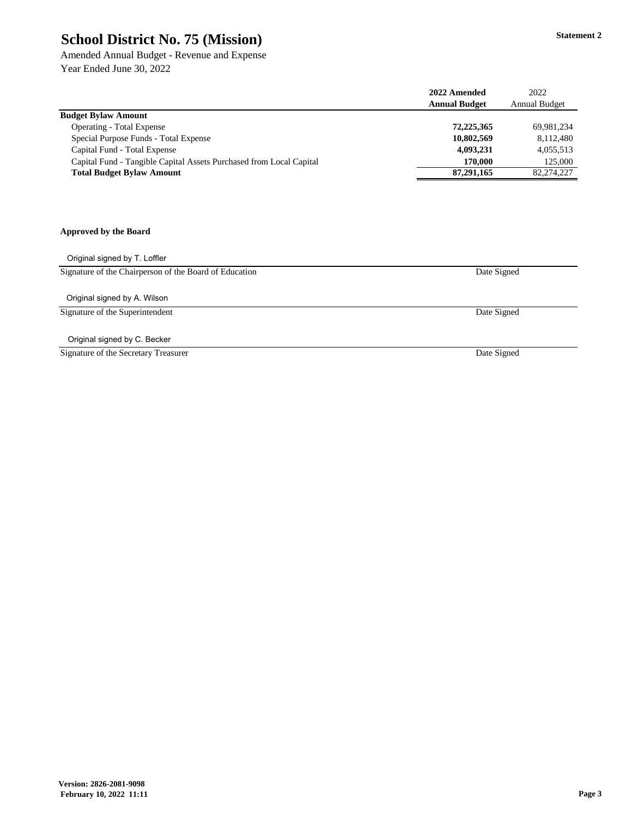Amended Annual Budget - Revenue and Expense Year Ended June 30, 2022

|                                                                     | 2022 Amended         | 2022                 |
|---------------------------------------------------------------------|----------------------|----------------------|
|                                                                     | <b>Annual Budget</b> | <b>Annual Budget</b> |
| <b>Budget Bylaw Amount</b>                                          |                      |                      |
| <b>Operating - Total Expense</b>                                    | 72,225,365           | 69,981,234           |
| Special Purpose Funds - Total Expense                               | 10,802,569           | 8,112,480            |
| Capital Fund - Total Expense                                        | 4,093,231            | 4,055,513            |
| Capital Fund - Tangible Capital Assets Purchased from Local Capital | 170,000              | 125,000              |
| <b>Total Budget Bylaw Amount</b>                                    | 87,291,165           | 82,274,227           |

#### **Approved by the Board**

Original signed by T. Loffler

Signature of the Chairperson of the Board of Education

Original signed by A. Wilson

Signature of the Superintendent

Original signed by C. Becker

Signature of the Secretary Treasurer

Date Signed

Date Signed

Date Signed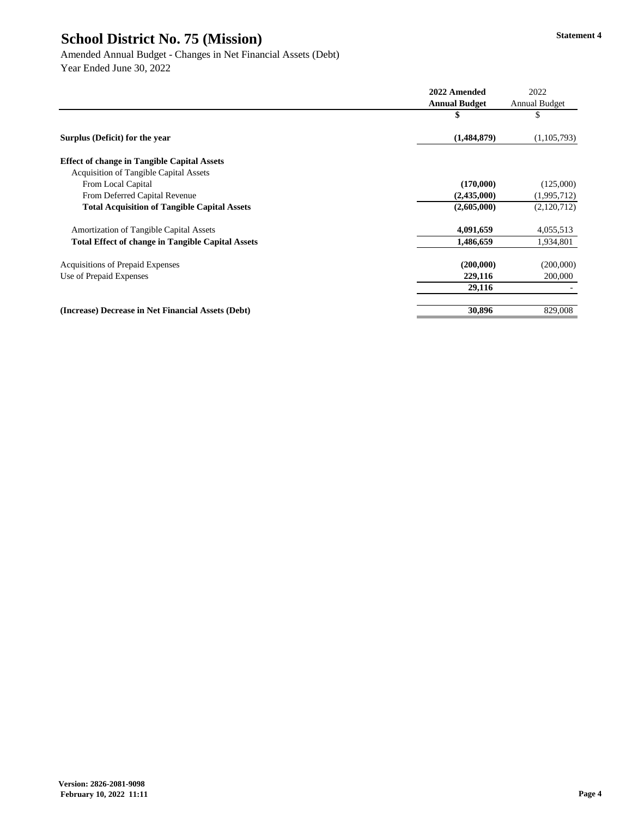|                                                          | 2022 Amended         | 2022                 |
|----------------------------------------------------------|----------------------|----------------------|
|                                                          | <b>Annual Budget</b> | <b>Annual Budget</b> |
|                                                          | \$                   | \$                   |
| Surplus (Deficit) for the year                           | (1,484,879)          | (1,105,793)          |
| <b>Effect of change in Tangible Capital Assets</b>       |                      |                      |
| <b>Acquisition of Tangible Capital Assets</b>            |                      |                      |
| From Local Capital                                       | (170,000)            | (125,000)            |
| From Deferred Capital Revenue                            | (2,435,000)          | (1,995,712)          |
| <b>Total Acquisition of Tangible Capital Assets</b>      | (2,605,000)          | (2,120,712)          |
| <b>Amortization of Tangible Capital Assets</b>           | 4,091,659            | 4,055,513            |
| <b>Total Effect of change in Tangible Capital Assets</b> | 1,486,659            | 1,934,801            |
| <b>Acquisitions of Prepaid Expenses</b>                  | (200,000)            | (200,000)            |
| Use of Prepaid Expenses                                  | 229,116              | 200,000              |
|                                                          | 29,116               |                      |
| (Increase) Decrease in Net Financial Assets (Debt)       | 30,896               | 829,008              |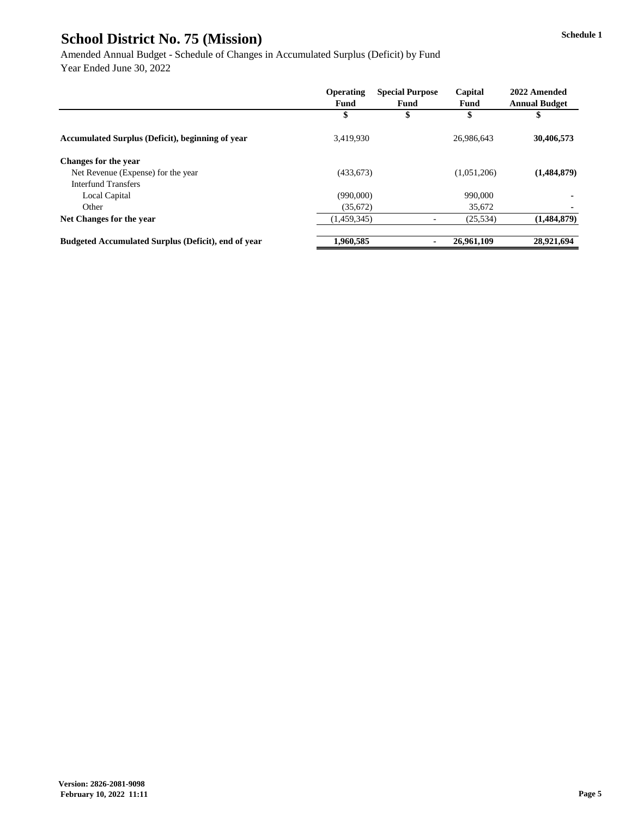Amended Annual Budget - Schedule of Changes in Accumulated Surplus (Deficit) by Fund Year Ended June 30, 2022

|                                                            | <b>Operating</b> | <b>Special Purpose</b> | Capital     | 2022 Amended         |
|------------------------------------------------------------|------------------|------------------------|-------------|----------------------|
|                                                            | <b>Fund</b>      | <b>Fund</b>            | <b>Fund</b> | <b>Annual Budget</b> |
|                                                            | \$               | \$                     | \$          | \$                   |
| <b>Accumulated Surplus (Deficit), beginning of year</b>    | 3,419,930        |                        | 26,986,643  | 30,406,573           |
| <b>Changes for the year</b>                                |                  |                        |             |                      |
| Net Revenue (Expense) for the year                         | (433, 673)       |                        | (1,051,206) | (1,484,879)          |
| <b>Interfund Transfers</b>                                 |                  |                        |             |                      |
| Local Capital                                              | (990,000)        |                        | 990,000     |                      |
| Other                                                      | (35,672)         |                        | 35,672      |                      |
| Net Changes for the year                                   | (1,459,345)      |                        | (25, 534)   | (1,484,879)          |
| <b>Budgeted Accumulated Surplus (Deficit), end of year</b> | 1,960,585        |                        | 26,961,109  | 28,921,694           |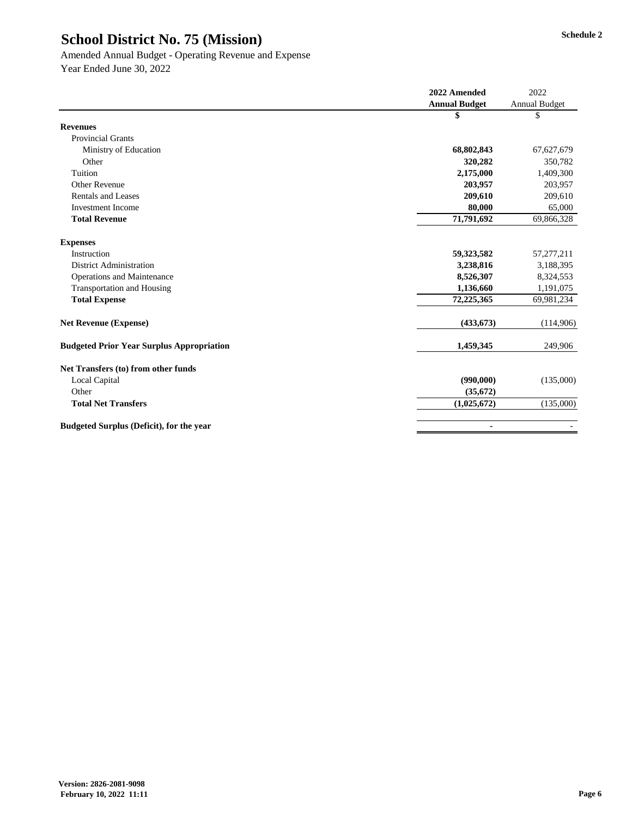## Amended Annual Budget - Operating Revenue and Expense

|                                                  | 2022 Amended         | 2022                 |
|--------------------------------------------------|----------------------|----------------------|
|                                                  | <b>Annual Budget</b> | <b>Annual Budget</b> |
|                                                  | \$                   | \$                   |
| <b>Revenues</b>                                  |                      |                      |
| <b>Provincial Grants</b>                         |                      |                      |
| Ministry of Education                            | 68,802,843           | 67,627,679           |
| Other                                            | 320,282              | 350,782              |
| Tuition                                          | 2,175,000            | 1,409,300            |
| <b>Other Revenue</b>                             | 203,957              | 203,957              |
| <b>Rentals and Leases</b>                        | 209,610              | 209,610              |
| <b>Investment Income</b>                         | 80,000               | 65,000               |
| <b>Total Revenue</b>                             | 71,791,692           | 69,866,328           |
|                                                  |                      |                      |
| <b>Expenses</b>                                  |                      |                      |
| Instruction                                      | 59,323,582           | 57,277,211           |
| <b>District Administration</b>                   | 3,238,816            | 3,188,395            |
| <b>Operations and Maintenance</b>                | 8,526,307            | 8,324,553            |
| <b>Transportation and Housing</b>                | 1,136,660            | 1,191,075            |
| <b>Total Expense</b>                             | 72,225,365           | 69,981,234           |
| <b>Net Revenue (Expense)</b>                     | (433, 673)           | (114,906)            |
| <b>Budgeted Prior Year Surplus Appropriation</b> | 1,459,345            | 249,906              |
| Net Transfers (to) from other funds              |                      |                      |
| <b>Local Capital</b>                             | (990,000)            | (135,000)            |
| Other                                            | (35, 672)            |                      |
| <b>Total Net Transfers</b>                       | (1,025,672)          | (135,000)            |
| <b>Budgeted Surplus (Deficit), for the year</b>  | $\blacksquare$       |                      |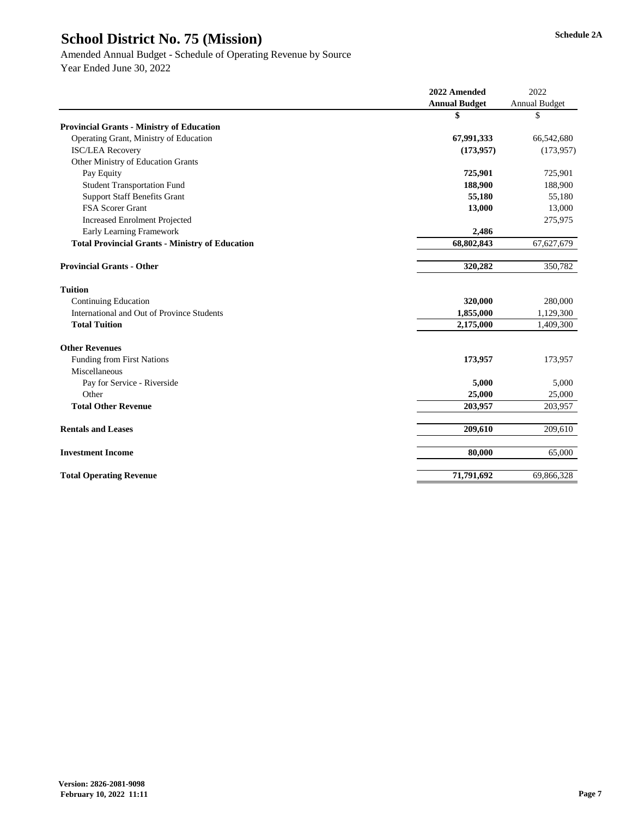#### Amended Annual Budget - Schedule of Operating Revenue by Source

|                                                        | 2022 Amended         | 2022                 |
|--------------------------------------------------------|----------------------|----------------------|
|                                                        | <b>Annual Budget</b> | <b>Annual Budget</b> |
|                                                        | \$                   | \$                   |
| <b>Provincial Grants - Ministry of Education</b>       |                      |                      |
| Operating Grant, Ministry of Education                 | 67,991,333           | 66,542,680           |
| <b>ISC/LEA Recovery</b>                                | (173, 957)           | (173, 957)           |
| Other Ministry of Education Grants                     |                      |                      |
| Pay Equity                                             | 725,901              | 725,901              |
| <b>Student Transportation Fund</b>                     | 188,900              | 188,900              |
| <b>Support Staff Benefits Grant</b>                    | 55,180               | 55,180               |
| FSA Scorer Grant                                       | 13,000               | 13,000               |
| <b>Increased Enrolment Projected</b>                   |                      | 275,975              |
| <b>Early Learning Framework</b>                        | 2,486                |                      |
| <b>Total Provincial Grants - Ministry of Education</b> | 68,802,843           | 67,627,679           |
| <b>Provincial Grants - Other</b>                       | 320,282              | 350,782              |
| <b>Tuition</b>                                         |                      |                      |
| <b>Continuing Education</b>                            | 320,000              | 280,000              |
| International and Out of Province Students             | 1,855,000            | 1,129,300            |
| <b>Total Tuition</b>                                   | 2,175,000            | 1,409,300            |
| <b>Other Revenues</b>                                  |                      |                      |
| Funding from First Nations                             | 173,957              | 173,957              |
| Miscellaneous                                          |                      |                      |
| Pay for Service - Riverside                            | 5,000                | 5,000                |
| Other                                                  | 25,000               | 25,000               |
| <b>Total Other Revenue</b>                             | 203,957              | 203,957              |
| <b>Rentals and Leases</b>                              | 209,610              | 209,610              |
| <b>Investment Income</b>                               | 80,000               | 65,000               |
| <b>Total Operating Revenue</b>                         | 71,791,692           | 69,866,328           |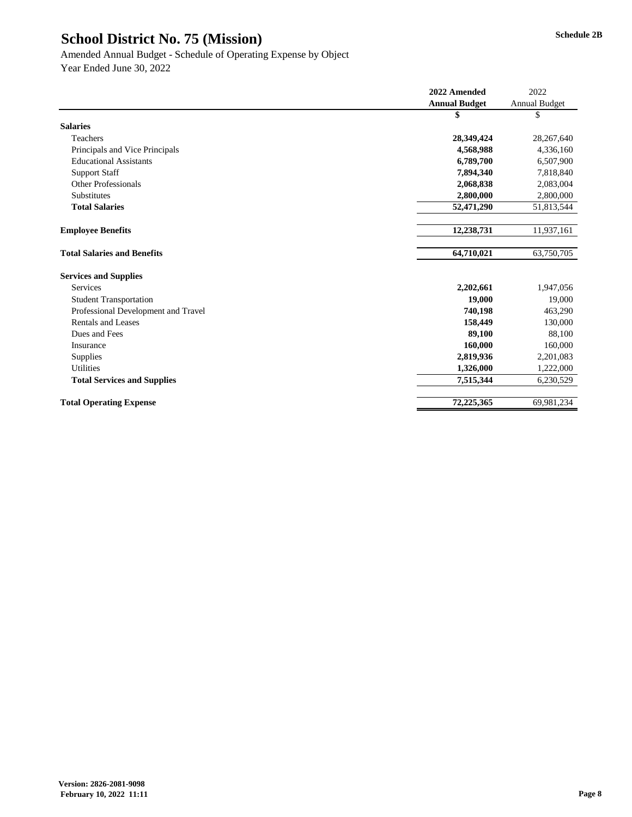|                                     | 2022 Amended         | 2022                 |
|-------------------------------------|----------------------|----------------------|
|                                     | <b>Annual Budget</b> | <b>Annual Budget</b> |
|                                     | \$                   | \$                   |
| <b>Salaries</b>                     |                      |                      |
| Teachers                            | 28,349,424           | 28,267,640           |
| Principals and Vice Principals      | 4,568,988            | 4,336,160            |
| <b>Educational Assistants</b>       | 6,789,700            | 6,507,900            |
| <b>Support Staff</b>                | 7,894,340            | 7,818,840            |
| <b>Other Professionals</b>          | 2,068,838            | 2,083,004            |
| Substitutes                         | 2,800,000            | 2,800,000            |
| <b>Total Salaries</b>               | 52,471,290           | 51,813,544           |
| <b>Employee Benefits</b>            | 12,238,731           | 11,937,161           |
| <b>Total Salaries and Benefits</b>  | 64,710,021           | 63,750,705           |
| <b>Services and Supplies</b>        |                      |                      |
| Services                            | 2,202,661            | 1,947,056            |
| <b>Student Transportation</b>       | 19,000               | 19,000               |
| Professional Development and Travel | 740,198              | 463,290              |
| <b>Rentals and Leases</b>           | 158,449              | 130,000              |
| Dues and Fees                       | 89,100               | 88,100               |
| Insurance                           | 160,000              | 160,000              |
| Supplies                            | 2,819,936            | 2,201,083            |
| <b>Utilities</b>                    | 1,326,000            | 1,222,000            |
| <b>Total Services and Supplies</b>  | 7,515,344            | 6,230,529            |
| <b>Total Operating Expense</b>      | 72,225,365           | 69,981,234           |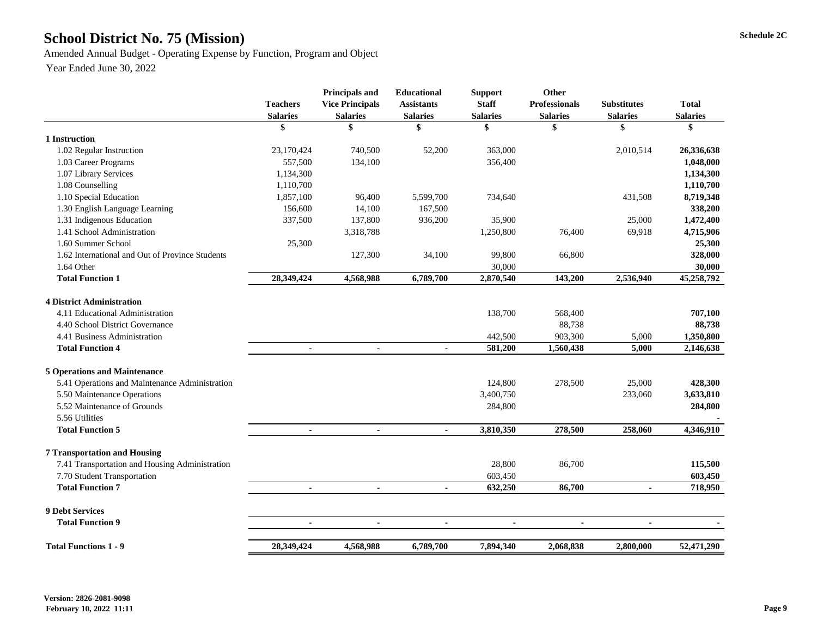# School District No. 75 (Mission) Schedule 2C

Amended Annual Budget - Operating Expense by Function, Program and Object

|                                                 | <b>Teachers</b><br><b>Salaries</b> | <b>Principals and</b><br><b>Vice Principals</b><br><b>Salaries</b> | <b>Educational</b><br><b>Assistants</b><br><b>Salaries</b> | <b>Support</b><br><b>Staff</b><br><b>Salaries</b> | Other<br><b>Professionals</b><br><b>Salaries</b> | <b>Substitutes</b><br><b>Salaries</b> | <b>Total</b><br><b>Salaries</b> |
|-------------------------------------------------|------------------------------------|--------------------------------------------------------------------|------------------------------------------------------------|---------------------------------------------------|--------------------------------------------------|---------------------------------------|---------------------------------|
|                                                 | \$                                 | \$                                                                 | \$                                                         | \$                                                | \$                                               | \$                                    | \$                              |
| 1 Instruction                                   |                                    |                                                                    |                                                            |                                                   |                                                  |                                       |                                 |
| 1.02 Regular Instruction                        | 23,170,424                         | 740,500                                                            | 52,200                                                     | 363,000                                           |                                                  | 2,010,514                             | 26,336,638                      |
| 1.03 Career Programs                            | 557,500                            | 134,100                                                            |                                                            | 356,400                                           |                                                  |                                       | 1,048,000                       |
| 1.07 Library Services                           | 1,134,300                          |                                                                    |                                                            |                                                   |                                                  |                                       | 1,134,300                       |
| 1.08 Counselling                                | 1,110,700                          |                                                                    |                                                            |                                                   |                                                  |                                       | 1,110,700                       |
| 1.10 Special Education                          | 1,857,100                          | 96,400                                                             | 5,599,700                                                  | 734,640                                           |                                                  | 431,508                               | 8,719,348                       |
| 1.30 English Language Learning                  | 156,600                            | 14,100                                                             | 167,500                                                    |                                                   |                                                  |                                       | 338,200                         |
| 1.31 Indigenous Education                       | 337,500                            | 137,800                                                            | 936,200                                                    | 35,900                                            |                                                  | 25,000                                | 1,472,400                       |
| 1.41 School Administration                      |                                    | 3,318,788                                                          |                                                            | 1,250,800                                         | 76,400                                           | 69,918                                | 4,715,906                       |
| 1.60 Summer School                              | 25,300                             |                                                                    |                                                            |                                                   |                                                  |                                       | 25,300                          |
| 1.62 International and Out of Province Students |                                    | 127,300                                                            | 34,100                                                     | 99,800                                            | 66,800                                           |                                       | 328,000                         |
| 1.64 Other                                      |                                    |                                                                    |                                                            | 30,000                                            |                                                  |                                       | 30,000                          |
| <b>Total Function 1</b>                         | 28,349,424                         | 4,568,988                                                          | 6,789,700                                                  | 2,870,540                                         | 143,200                                          | 2,536,940                             | 45,258,792                      |
| <b>4 District Administration</b>                |                                    |                                                                    |                                                            |                                                   |                                                  |                                       |                                 |
| 4.11 Educational Administration                 |                                    |                                                                    |                                                            | 138,700                                           | 568,400                                          |                                       | 707,100                         |
| 4.40 School District Governance                 |                                    |                                                                    |                                                            |                                                   | 88,738                                           |                                       | 88,738                          |
| 4.41 Business Administration                    |                                    |                                                                    |                                                            | 442,500                                           | 903,300                                          | 5,000                                 | 1,350,800                       |
| <b>Total Function 4</b>                         | $\blacksquare$                     | $\blacksquare$                                                     | $\blacksquare$                                             | 581,200                                           | 1,560,438                                        | 5,000                                 | 2,146,638                       |
| <b>5 Operations and Maintenance</b>             |                                    |                                                                    |                                                            |                                                   |                                                  |                                       |                                 |
| 5.41 Operations and Maintenance Administration  |                                    |                                                                    |                                                            | 124,800                                           | 278,500                                          | 25,000                                | 428,300                         |
| 5.50 Maintenance Operations                     |                                    |                                                                    |                                                            | 3,400,750                                         |                                                  | 233,060                               | 3,633,810                       |
| 5.52 Maintenance of Grounds                     |                                    |                                                                    |                                                            | 284,800                                           |                                                  |                                       | 284,800                         |
| 5.56 Utilities<br><b>Total Function 5</b>       |                                    |                                                                    |                                                            | 3,810,350                                         | 278,500                                          | 258,060                               | 4,346,910                       |
|                                                 |                                    |                                                                    |                                                            |                                                   |                                                  |                                       |                                 |
| <b>7 Transportation and Housing</b>             |                                    |                                                                    |                                                            |                                                   |                                                  |                                       |                                 |
| 7.41 Transportation and Housing Administration  |                                    |                                                                    |                                                            | 28,800                                            | 86,700                                           |                                       | 115,500                         |
| 7.70 Student Transportation                     |                                    |                                                                    |                                                            | 603,450                                           |                                                  |                                       | 603,450                         |
| <b>Total Function 7</b>                         |                                    |                                                                    | $\blacksquare$                                             | 632,250                                           | 86,700                                           | $\blacksquare$                        | 718,950                         |
| <b>9 Debt Services</b>                          |                                    |                                                                    |                                                            |                                                   |                                                  |                                       |                                 |
| <b>Total Function 9</b>                         | $\blacksquare$                     | $\blacksquare$                                                     |                                                            |                                                   | $\blacksquare$                                   |                                       |                                 |
| <b>Total Functions 1 - 9</b>                    | 28,349,424                         | 4,568,988                                                          | 6,789,700                                                  | 7,894,340                                         | 2,068,838                                        | 2,800,000                             | 52,471,290                      |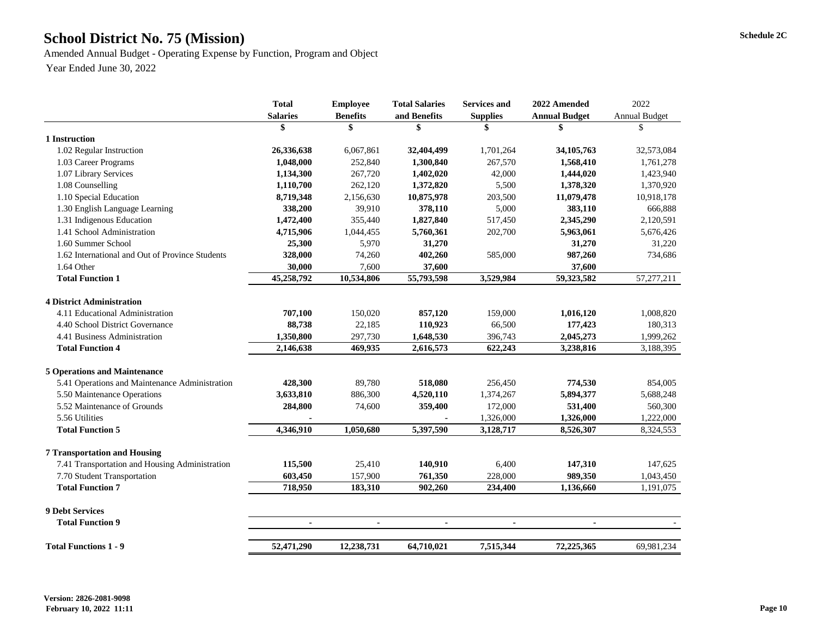# School District No. 75 (Mission) Schedule 2C

Amended Annual Budget - Operating Expense by Function, Program and Object Year Ended June 30, 2022

|                                                 | <b>Total</b>    | <b>Employee</b> | <b>Total Salaries</b> | <b>Services and</b> | 2022 Amended         | 2022                 |
|-------------------------------------------------|-----------------|-----------------|-----------------------|---------------------|----------------------|----------------------|
|                                                 | <b>Salaries</b> | <b>Benefits</b> | and Benefits          | <b>Supplies</b>     | <b>Annual Budget</b> | <b>Annual Budget</b> |
|                                                 | \$              | \$              | \$                    |                     |                      | S                    |
| 1 Instruction                                   |                 |                 |                       |                     |                      |                      |
| 1.02 Regular Instruction                        | 26,336,638      | 6,067,861       | 32,404,499            | 1,701,264           | 34, 105, 763         | 32,573,084           |
| 1.03 Career Programs                            | 1,048,000       | 252,840         | 1,300,840             | 267,570             | 1,568,410            | 1,761,278            |
| 1.07 Library Services                           | 1,134,300       | 267,720         | 1,402,020             | 42,000              | 1,444,020            | 1,423,940            |
| 1.08 Counselling                                | 1,110,700       | 262,120         | 1,372,820             | 5,500               | 1,378,320            | 1,370,920            |
| 1.10 Special Education                          | 8,719,348       | 2,156,630       | 10,875,978            | 203,500             | 11,079,478           | 10,918,178           |
| 1.30 English Language Learning                  | 338,200         | 39,910          | 378,110               | 5,000               | 383,110              | 666,888              |
| 1.31 Indigenous Education                       | 1,472,400       | 355,440         | 1,827,840             | 517,450             | 2,345,290            | 2,120,591            |
| 1.41 School Administration                      | 4,715,906       | 1,044,455       | 5,760,361             | 202,700             | 5,963,061            | 5,676,426            |
| 1.60 Summer School                              | 25,300          | 5,970           | 31,270                |                     | 31,270               | 31,220               |
| 1.62 International and Out of Province Students | 328,000         | 74,260          | 402,260               | 585,000             | 987,260              | 734,686              |
| 1.64 Other                                      | 30,000          | 7,600           | 37,600                |                     | 37,600               |                      |
| <b>Total Function 1</b>                         | 45,258,792      | 10,534,806      | 55,793,598            | 3,529,984           | 59,323,582           | 57, 277, 211         |
| <b>4 District Administration</b>                |                 |                 |                       |                     |                      |                      |
| 4.11 Educational Administration                 | 707,100         | 150,020         | 857,120               | 159,000             | 1,016,120            | 1,008,820            |
| 4.40 School District Governance                 | 88,738          | 22,185          | 110,923               | 66,500              | 177,423              | 180,313              |
| 4.41 Business Administration                    | 1,350,800       | 297,730         | 1,648,530             | 396,743             | 2,045,273            | 1,999,262            |
| <b>Total Function 4</b>                         | 2,146,638       | 469,935         | 2,616,573             | 622,243             | 3,238,816            | 3,188,395            |
| <b>5 Operations and Maintenance</b>             |                 |                 |                       |                     |                      |                      |
| 5.41 Operations and Maintenance Administration  | 428,300         | 89,780          | 518,080               | 256,450             | 774,530              | 854,005              |
|                                                 |                 |                 |                       |                     |                      |                      |
| 5.50 Maintenance Operations                     | 3,633,810       | 886,300         | 4,520,110             | 1,374,267           | 5,894,377            | 5,688,248            |
| 5.52 Maintenance of Grounds                     | 284,800         | 74,600          | 359,400               | 172,000             | 531,400              | 560,300              |
| 5.56 Utilities                                  |                 |                 |                       | 1,326,000           | 1,326,000            | 1,222,000            |
| <b>Total Function 5</b>                         | 4,346,910       | 1,050,680       | 5,397,590             | 3,128,717           | 8,526,307            | 8,324,553            |
| <b>7 Transportation and Housing</b>             |                 |                 |                       |                     |                      |                      |
| 7.41 Transportation and Housing Administration  | 115,500         | 25,410          | 140,910               | 6,400               | 147,310              | 147,625              |
| 7.70 Student Transportation                     | 603,450         | 157,900         | 761,350               | 228,000             | 989,350              | 1,043,450            |
| <b>Total Function 7</b>                         | 718,950         | 183,310         | 902,260               | 234,400             | 1,136,660            | 1,191,075            |
| <b>9 Debt Services</b>                          |                 |                 |                       |                     |                      |                      |
| <b>Total Function 9</b>                         |                 |                 |                       |                     |                      |                      |
| <b>Total Functions 1 - 9</b>                    | 52,471,290      | 12,238,731      | 64,710,021            | 7,515,344           | 72,225,365           | 69,981,234           |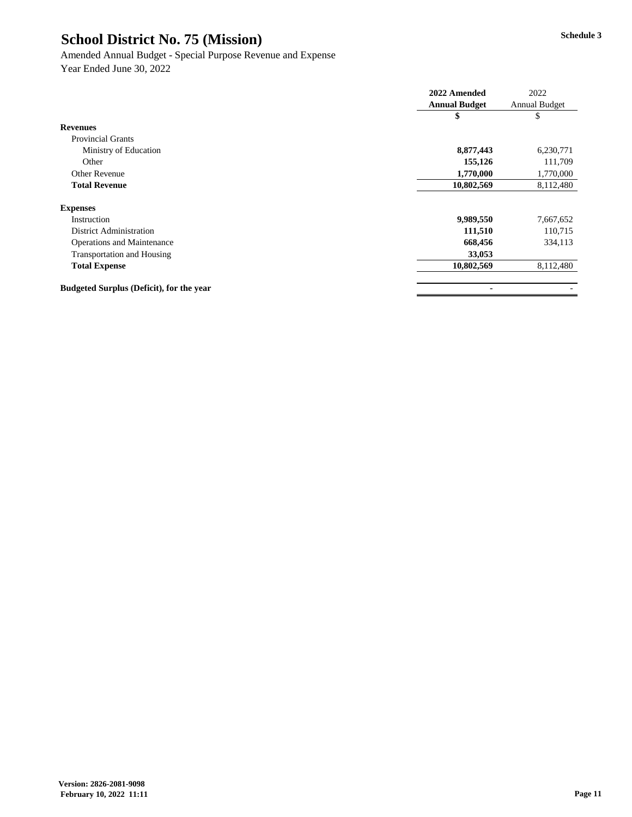#### Amended Annual Budget - Special Purpose Revenue and Expense

|                                                 | 2022 Amended         | 2022                 |
|-------------------------------------------------|----------------------|----------------------|
|                                                 | <b>Annual Budget</b> | <b>Annual Budget</b> |
|                                                 | \$                   | P                    |
| <b>Revenues</b>                                 |                      |                      |
| <b>Provincial Grants</b>                        |                      |                      |
| Ministry of Education                           | 8,877,443            | 6,230,771            |
| Other                                           | 155,126              | 111,709              |
| <b>Other Revenue</b>                            | 1,770,000            | 1,770,000            |
| <b>Total Revenue</b>                            | 10,802,569           | 8,112,480            |
| <b>Expenses</b>                                 |                      |                      |
| Instruction                                     | 9,989,550            | 7,667,652            |
| <b>District Administration</b>                  | 111,510              | 110,715              |
| <b>Operations and Maintenance</b>               | 668,456              | 334,113              |
| <b>Transportation and Housing</b>               | 33,053               |                      |
| <b>Total Expense</b>                            | 10,802,569           | 8,112,480            |
| <b>Budgeted Surplus (Deficit), for the year</b> | $\blacksquare$       |                      |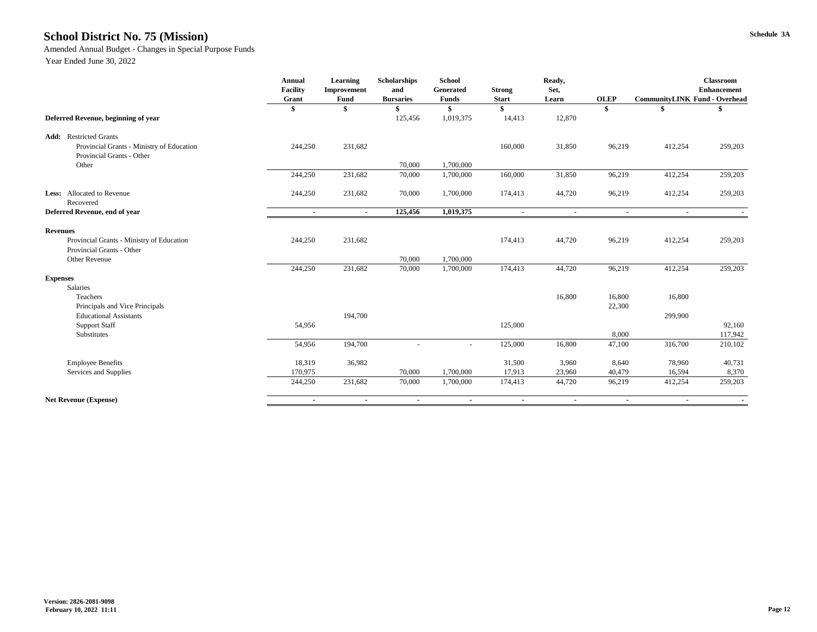# **Schedule 3A School District No. 75 (Mission)**

Amended Annual Budget - Changes in Special Purpose Funds

|                                                                        | <b>Annual</b><br><b>Facility</b><br>Grant | <b>Learning</b><br>Improvement<br><b>Fund</b> | <b>Scholarships</b><br>and<br><b>Bursaries</b> | <b>School</b><br>Generated<br><b>Funds</b> | <b>Strong</b><br><b>Start</b> | Ready,<br>Set,<br>Learn | <b>OLEP</b>       | <b>CommunityLINK Fund - Overhead</b> | <b>Classroom</b><br><b>Enhancement</b> |
|------------------------------------------------------------------------|-------------------------------------------|-----------------------------------------------|------------------------------------------------|--------------------------------------------|-------------------------------|-------------------------|-------------------|--------------------------------------|----------------------------------------|
|                                                                        |                                           |                                               |                                                |                                            | \$                            |                         | $\boldsymbol{\$}$ |                                      |                                        |
| Deferred Revenue, beginning of year                                    |                                           |                                               | 125,456                                        | 1,019,375                                  | 14,413                        | 12,870                  |                   |                                      |                                        |
| <b>Add:</b> Restricted Grants                                          |                                           |                                               |                                                |                                            |                               |                         |                   |                                      |                                        |
| Provincial Grants - Ministry of Education<br>Provincial Grants - Other | 244,250                                   | 231,682                                       |                                                |                                            | 160,000                       | 31,850                  | 96,219            | 412,254                              | 259,203                                |
| Other                                                                  |                                           |                                               | 70,000                                         | 1,700,000                                  |                               |                         |                   |                                      |                                        |
|                                                                        | 244,250                                   | 231,682                                       | 70,000                                         | 1,700,000                                  | 160,000                       | 31,850                  | 96,219            | 412,254                              | 259,203                                |
| <b>Less:</b> Allocated to Revenue<br>Recovered                         | 244,250                                   | 231,682                                       | 70,000                                         | 1,700,000                                  | 174,413                       | 44,720                  | 96,219            | 412,254                              | 259,203                                |
| Deferred Revenue, end of year                                          | $\sim$                                    | $\sim$                                        | 125,456                                        | 1,019,375                                  | $\sim$                        | $\sim$                  | $\sim$            | $\sim$                               |                                        |
| <b>Revenues</b>                                                        |                                           |                                               |                                                |                                            |                               |                         |                   |                                      |                                        |
| Provincial Grants - Ministry of Education<br>Provincial Grants - Other | 244,250                                   | 231,682                                       |                                                |                                            | 174,413                       | 44,720                  | 96,219            | 412,254                              | 259,203                                |
| Other Revenue                                                          |                                           |                                               | 70,000                                         | 1,700,000                                  |                               |                         |                   |                                      |                                        |
|                                                                        | 244,250                                   | 231,682                                       | 70,000                                         | 1,700,000                                  | 174,413                       | 44,720                  | 96,219            | 412,254                              | 259,203                                |
| <b>Expenses</b><br>Salaries                                            |                                           |                                               |                                                |                                            |                               |                         |                   |                                      |                                        |
| Teachers<br>Principals and Vice Principals                             |                                           |                                               |                                                |                                            |                               | 16,800                  | 16,800<br>22,300  | 16,800                               |                                        |
| <b>Educational Assistants</b>                                          |                                           | 194,700                                       |                                                |                                            |                               |                         |                   | 299,900                              |                                        |
| <b>Support Staff</b><br>Substitutes                                    | 54,956                                    |                                               |                                                |                                            | 125,000                       |                         | 8,000             |                                      | 92,160<br>117,942                      |
|                                                                        | 54,956                                    | 194,700                                       | $\overline{\phantom{a}}$                       | $\overline{\phantom{a}}$                   | 125,000                       | 16,800                  | 47,100            | 316,700                              | 210,102                                |
| <b>Employee Benefits</b>                                               | 18,319                                    | 36,982                                        |                                                |                                            | 31,500                        | 3,960                   | 8,640             | 78,960                               | 40,731                                 |
| Services and Supplies                                                  | 170,975                                   |                                               | 70,000                                         | 1,700,000                                  | 17,913                        | 23,960                  | 40,479            | 16,594                               | 8,370                                  |
|                                                                        | 244,250                                   | 231,682                                       | 70,000                                         | 1,700,000                                  | 174,413                       | 44,720                  | 96,219            | 412,254                              | 259,203                                |
| <b>Net Revenue (Expense)</b>                                           | $\sim$                                    | $\sim$                                        | $\sim$                                         | $\sim$                                     | $\sim$                        | $\sim$                  | $\sim$            | $\sim$                               | $\sim$ 100 $\mu$                       |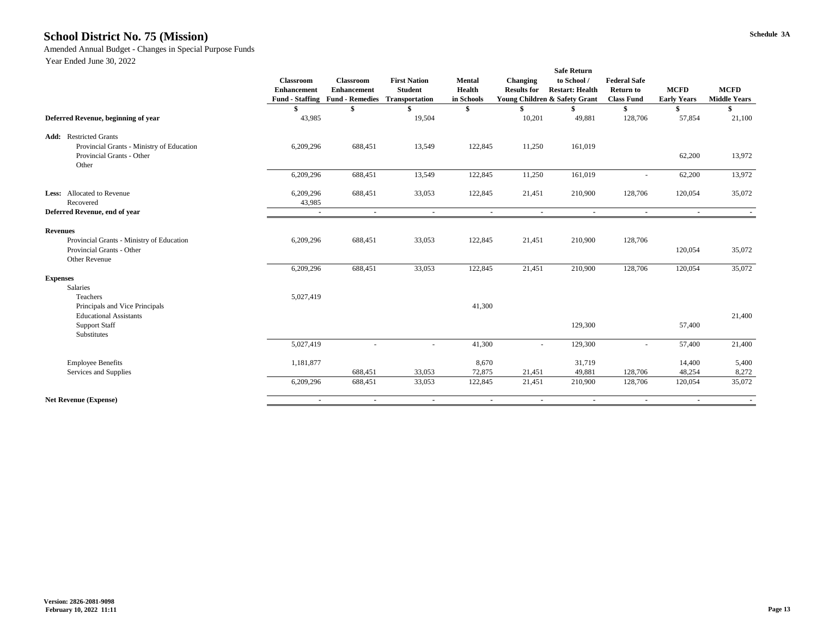# **Schedule 3A School District No. 75 (Mission)**

Amended Annual Budget - Changes in Special Purpose Funds

|                                                                                 | <b>Safe Return</b>                     |                                                                                  |                                                                |                                              |                                       |                                                                        |                                                              |                                   |                                    |
|---------------------------------------------------------------------------------|----------------------------------------|----------------------------------------------------------------------------------|----------------------------------------------------------------|----------------------------------------------|---------------------------------------|------------------------------------------------------------------------|--------------------------------------------------------------|-----------------------------------|------------------------------------|
|                                                                                 | <b>Classroom</b><br><b>Enhancement</b> | <b>Classroom</b><br><b>Enhancement</b><br><b>Fund - Staffing Fund - Remedies</b> | <b>First Nation</b><br><b>Student</b><br><b>Transportation</b> | <b>Mental</b><br><b>Health</b><br>in Schools | <b>Changing</b><br><b>Results for</b> | to School /<br><b>Restart: Health</b><br>Young Children & Safety Grant | <b>Federal Safe</b><br><b>Return to</b><br><b>Class Fund</b> | <b>MCFD</b><br><b>Early Years</b> | <b>MCFD</b><br><b>Middle Years</b> |
|                                                                                 |                                        |                                                                                  |                                                                |                                              |                                       |                                                                        |                                                              |                                   |                                    |
|                                                                                 |                                        |                                                                                  |                                                                |                                              |                                       |                                                                        |                                                              |                                   |                                    |
|                                                                                 |                                        |                                                                                  |                                                                | \$                                           |                                       |                                                                        |                                                              |                                   |                                    |
| Deferred Revenue, beginning of year                                             | 43,985                                 |                                                                                  | 19,504                                                         |                                              | 10,201                                | 49,881                                                                 | 128,706                                                      | 57,854                            | 21,100                             |
| <b>Add:</b> Restricted Grants                                                   |                                        |                                                                                  |                                                                |                                              |                                       |                                                                        |                                                              |                                   |                                    |
| Provincial Grants - Ministry of Education<br>Provincial Grants - Other<br>Other | 6,209,296                              | 688,451                                                                          | 13,549                                                         | 122,845                                      | 11,250                                | 161,019                                                                |                                                              | 62,200                            | 13,972                             |
|                                                                                 | 6,209,296                              | 688,451                                                                          | 13,549                                                         | 122,845                                      | 11,250                                | 161,019                                                                |                                                              | 62,200                            | 13,972                             |
| <b>Less:</b> Allocated to Revenue                                               | 6,209,296                              | 688,451                                                                          | 33,053                                                         | 122,845                                      | 21,451                                | 210,900                                                                | 128,706                                                      | 120,054                           | 35,072                             |
| Recovered                                                                       | 43,985                                 |                                                                                  |                                                                |                                              |                                       |                                                                        |                                                              |                                   |                                    |
| Deferred Revenue, end of year                                                   | $\sim$                                 | $\sim$                                                                           | $\sim$                                                         | $\sim$                                       | $\sim$                                | $\sim$                                                                 | $\sim$                                                       | $\sim$                            |                                    |
| <b>Revenues</b>                                                                 |                                        |                                                                                  |                                                                |                                              |                                       |                                                                        |                                                              |                                   |                                    |
| Provincial Grants - Ministry of Education<br>Provincial Grants - Other          | 6,209,296                              | 688,451                                                                          | 33,053                                                         | 122,845                                      | 21,451                                | 210,900                                                                | 128,706                                                      | 120,054                           | 35,072                             |
| Other Revenue                                                                   | 6,209,296                              | 688,451                                                                          | 33,053                                                         | 122,845                                      | 21,451                                | 210,900                                                                | 128,706                                                      | 120,054                           | 35,072                             |
| <b>Expenses</b>                                                                 |                                        |                                                                                  |                                                                |                                              |                                       |                                                                        |                                                              |                                   |                                    |
| Salaries                                                                        |                                        |                                                                                  |                                                                |                                              |                                       |                                                                        |                                                              |                                   |                                    |
| Teachers                                                                        | 5,027,419                              |                                                                                  |                                                                |                                              |                                       |                                                                        |                                                              |                                   |                                    |
| Principals and Vice Principals                                                  |                                        |                                                                                  |                                                                | 41,300                                       |                                       |                                                                        |                                                              |                                   |                                    |
| <b>Educational Assistants</b>                                                   |                                        |                                                                                  |                                                                |                                              |                                       |                                                                        |                                                              |                                   | 21,400                             |
| <b>Support Staff</b><br>Substitutes                                             |                                        |                                                                                  |                                                                |                                              |                                       | 129,300                                                                |                                                              | 57,400                            |                                    |
|                                                                                 | 5,027,419                              |                                                                                  |                                                                | 41,300                                       | $\overline{a}$                        | 129,300                                                                |                                                              | 57,400                            | 21,400                             |
| <b>Employee Benefits</b>                                                        | 1,181,877                              |                                                                                  |                                                                | 8,670                                        |                                       | 31,719                                                                 |                                                              | 14,400                            | 5,400                              |
| Services and Supplies                                                           |                                        | 688,451                                                                          | 33,053                                                         | 72,875                                       | 21,451                                | 49,881                                                                 | 128,706                                                      | 48,254                            | 8,272                              |
|                                                                                 | 6,209,296                              | 688,451                                                                          | 33,053                                                         | 122,845                                      | 21,451                                | 210,900                                                                | 128,706                                                      | 120,054                           | 35,072                             |
| <b>Net Revenue (Expense)</b>                                                    | $\sim$                                 | $\sim$                                                                           | $\blacksquare$                                                 | $\sim$                                       | $\sim$                                | $\sim$                                                                 | $\sim$                                                       | $\sim$                            |                                    |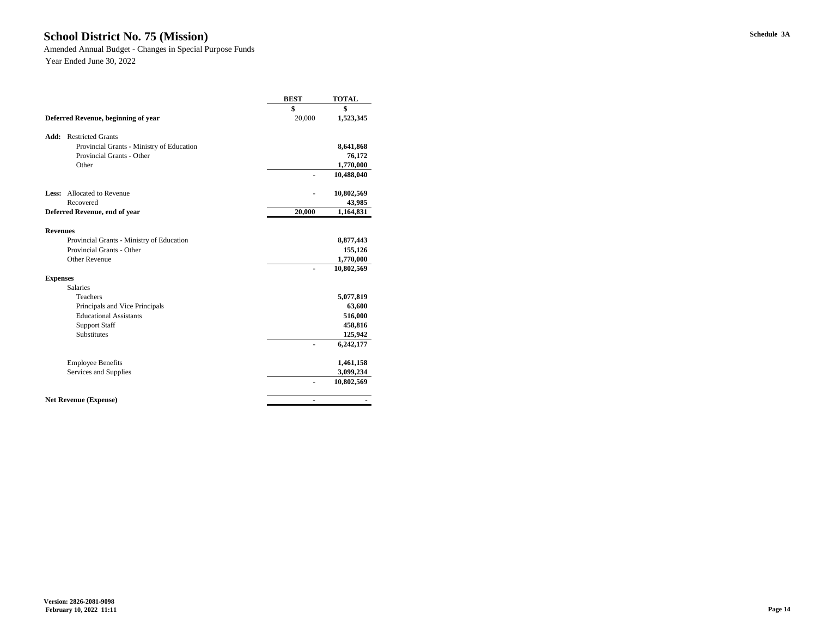# **Schedule 3A School District No. 75 (Mission)**

Amended Annual Budget - Changes in Special Purpose Funds

|                                           |                                           | <b>BEST</b>    | <b>TOTAL</b> |
|-------------------------------------------|-------------------------------------------|----------------|--------------|
|                                           |                                           | \$             | \$           |
| Deferred Revenue, beginning of year       |                                           | 20,000         | 1,523,345    |
| Add:<br><b>Restricted Grants</b>          |                                           |                |              |
|                                           | Provincial Grants - Ministry of Education |                | 8,641,868    |
| <b>Provincial Grants - Other</b>          |                                           |                | 76,172       |
| Other                                     |                                           |                | 1,770,000    |
|                                           |                                           |                | 10,488,040   |
| <b>Allocated to Revenue</b><br>Less:      |                                           |                | 10,802,569   |
| Recovered                                 |                                           |                | 43,985       |
| Deferred Revenue, end of year             |                                           | 20,000         | 1,164,831    |
|                                           |                                           |                |              |
| <b>Revenues</b>                           |                                           |                |              |
| Provincial Grants - Ministry of Education |                                           |                | 8,877,443    |
| Provincial Grants - Other                 |                                           |                | 155,126      |
| <b>Other Revenue</b>                      |                                           |                | 1,770,000    |
|                                           |                                           | $\overline{a}$ | 10,802,569   |
| <b>Expenses</b>                           |                                           |                |              |
| <b>Salaries</b>                           |                                           |                |              |
| Teachers                                  |                                           |                | 5,077,819    |
| Principals and Vice Principals            |                                           |                | 63,600       |
| <b>Educational Assistants</b>             |                                           |                | 516,000      |
| <b>Support Staff</b>                      |                                           |                | 458,816      |
| Substitutes                               |                                           |                | 125,942      |
|                                           |                                           |                | 6,242,177    |
| <b>Employee Benefits</b>                  |                                           |                | 1,461,158    |
| Services and Supplies                     |                                           |                | 3,099,234    |
|                                           |                                           | $\overline{a}$ | 10,802,569   |
| <b>Net Revenue (Expense)</b>              |                                           | $\blacksquare$ |              |